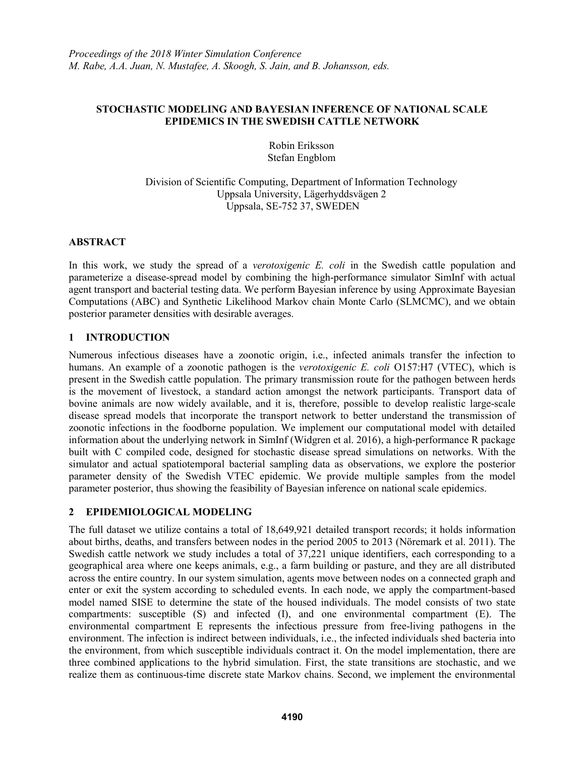## STOCHASTIC MODELING AND BAYESIAN INFERENCE OF NATIONAL SCALE EPIDEMICS IN THE SWEDISH CATTLE NETWORK

Robin Eriksson Stefan Engblom

Division of Scientific Computing, Department of Information Technology Uppsala University, Lägerhyddsvägen 2 Uppsala, SE-752 37, SWEDEN

# ABSTRACT

In this work, we study the spread of a *verotoxigenic E. coli* in the Swedish cattle population and parameterize a disease-spread model by combining the high-performance simulator SimInf with actual agent transport and bacterial testing data. We perform Bayesian inference by using Approximate Bayesian Computations (ABC) and Synthetic Likelihood Markov chain Monte Carlo (SLMCMC), and we obtain posterior parameter densities with desirable averages.

# 1 INTRODUCTION

Numerous infectious diseases have a zoonotic origin, i.e., infected animals transfer the infection to humans. An example of a zoonotic pathogen is the *verotoxigenic E. coli* O157:H7 (VTEC), which is present in the Swedish cattle population. The primary transmission route for the pathogen between herds is the movement of livestock, a standard action amongst the network participants. Transport data of bovine animals are now widely available, and it is, therefore, possible to develop realistic large-scale disease spread models that incorporate the transport network to better understand the transmission of zoonotic infections in the foodborne population. We implement our computational model with detailed information about the underlying network in SimInf (Widgren et al. 2016), a high-performance R package built with C compiled code, designed for stochastic disease spread simulations on networks. With the simulator and actual spatiotemporal bacterial sampling data as observations, we explore the posterior parameter density of the Swedish VTEC epidemic. We provide multiple samples from the model parameter posterior, thus showing the feasibility of Bayesian inference on national scale epidemics.

## 2 EPIDEMIOLOGICAL MODELING

The full dataset we utilize contains a total of 18,649,921 detailed transport records; it holds information about births, deaths, and transfers between nodes in the period 2005 to 2013 (Nöremark et al. 2011). The Swedish cattle network we study includes a total of 37,221 unique identifiers, each corresponding to a geographical area where one keeps animals, e.g., a farm building or pasture, and they are all distributed across the entire country. In our system simulation, agents move between nodes on a connected graph and enter or exit the system according to scheduled events. In each node, we apply the compartment-based model named SISE to determine the state of the housed individuals. The model consists of two state compartments: susceptible (S) and infected (I), and one environmental compartment (E). The environmental compartment E represents the infectious pressure from free-living pathogens in the environment. The infection is indirect between individuals, i.e., the infected individuals shed bacteria into the environment, from which susceptible individuals contract it. On the model implementation, there are three combined applications to the hybrid simulation. First, the state transitions are stochastic, and we realize them as continuous-time discrete state Markov chains. Second, we implement the environmental